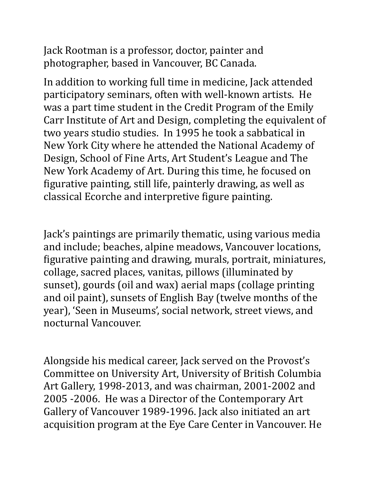Jack Rootman is a professor, doctor, painter and photographer, based in Vancouver, BC Canada.

In addition to working full time in medicine, Jack attended participatory seminars, often with well-known artists. He was a part time student in the Credit Program of the Emily Carr Institute of Art and Design, completing the equivalent of two years studio studies. In 1995 he took a sabbatical in New York City where he attended the National Academy of Design, School of Fine Arts, Art Student's League and The New York Academy of Art. During this time, he focused on figurative painting, still life, painterly drawing, as well as classical Ecorche and interpretive figure painting.

Jack's paintings are primarily thematic, using various media and include; beaches, alpine meadows, Vancouver locations, figurative painting and drawing, murals, portrait, miniatures, collage, sacred places, vanitas, pillows (illuminated by sunset), gourds (oil and wax) aerial maps (collage printing and oil paint), sunsets of English Bay (twelve months of the year), 'Seen in Museums', social network, street views, and nocturnal Vancouver.

Alongside his medical career, Jack served on the Provost's Committee on University Art, University of British Columbia Art Gallery, 1998-2013, and was chairman, 2001-2002 and 2005 -2006. He was a Director of the Contemporary Art Gallery of Vancouver 1989-1996. Jack also initiated an art acquisition program at the Eye Care Center in Vancouver. He